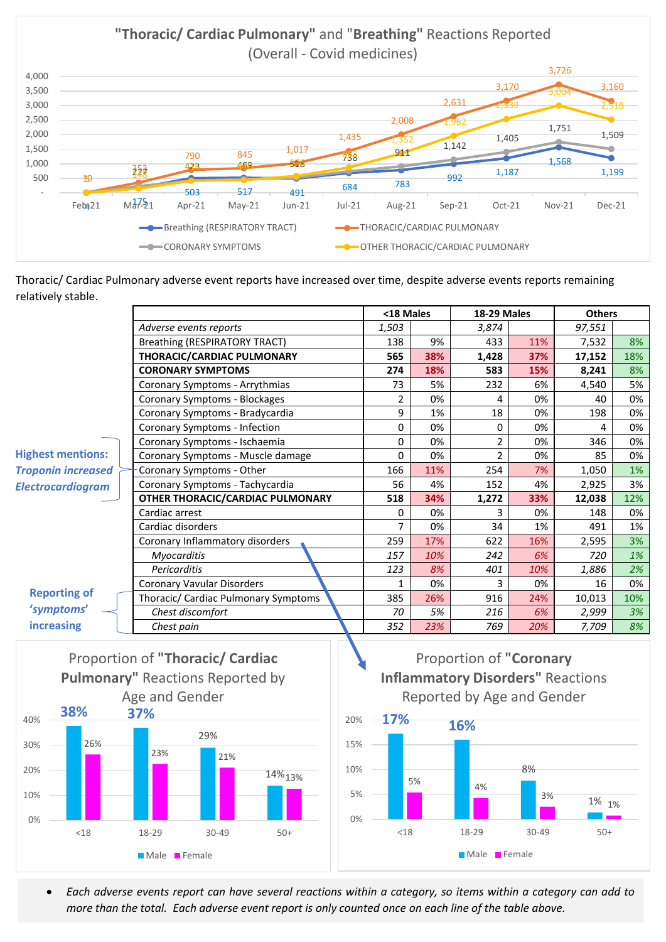**"Thoracic/ Cardiac Pulmonary"** and "**Breathing"** Reactions Reported (Overall - Covid medicines)



Thoracic/ Cardiac Pulmonary adverse event reports have increased over time, despite adverse events reports remaining relatively stable.

|                           |                                      | <18 Males      |     | <b>18-29 Males</b> |     | <b>Others</b> |     |
|---------------------------|--------------------------------------|----------------|-----|--------------------|-----|---------------|-----|
|                           | Adverse events reports               | 1,503          |     | 3,874              |     | 97,551        |     |
|                           | <b>Breathing (RESPIRATORY TRACT)</b> | 138            | 9%  | 433                | 11% | 7,532         | 8%  |
|                           | THORACIC/CARDIAC PULMONARY           | 565            | 38% | 1,428              | 37% | 17,152        | 18% |
| <b>Highest mentions:</b>  | <b>CORONARY SYMPTOMS</b>             | 274            | 18% | 583                | 15% | 8,241         | 8%  |
|                           | Coronary Symptoms - Arrythmias       | 73             | 5%  | 232                | 6%  | 4,540         | 5%  |
|                           | Coronary Symptoms - Blockages        | 2              | 0%  | 4                  | 0%  | 40            | 0%  |
|                           | Coronary Symptoms - Bradycardia      | 9              | 1%  | 18                 | 0%  | 198           | 0%  |
|                           | Coronary Symptoms - Infection        | 0              | 0%  | 0                  | 0%  | 4             | 0%  |
|                           | Coronary Symptoms - Ischaemia        | 0              | 0%  | 2                  | 0%  | 346           | 0%  |
|                           | Coronary Symptoms - Muscle damage    | 0              | 0%  | 2                  | 0%  | 85            | 0%  |
| <b>Troponin increased</b> | Coronary Symptoms - Other            | 166            | 11% | 254                | 7%  | 1,050         | 1%  |
| <b>Electrocardiogram</b>  | Coronary Symptoms - Tachycardia      | 56             | 4%  | 152                | 4%  | 2,925         | 3%  |
|                           | OTHER THORACIC/CARDIAC PULMONARY     | 518            | 34% | 1,272              | 33% | 12,038        | 12% |
|                           | Cardiac arrest                       | $\Omega$       | 0%  | 3                  | 0%  | 148           | 0%  |
|                           | Cardiac disorders                    | $\overline{7}$ | 0%  | 34                 | 1%  | 491           | 1%  |
|                           | Coronary Inflammatory disorders      | 259            | 17% | 622                | 16% | 2,595         | 3%  |
|                           | <b>Myocarditis</b>                   | 157            | 10% | 242                | 6%  | 720           | 1%  |
|                           | Pericarditis                         | 123            | 8%  | 401                | 10% | 1,886         | 2%  |
|                           | <b>Coronary Vavular Disorders</b>    |                | 0%  | 3                  | 0%  | 16            | 0%  |
| <b>Reporting of</b>       | Thoracic/ Cardiac Pulmonary Symptoms | 385            | 26% | 916                | 24% | 10,013        | 10% |
| 'symptoms'                | Chest discomfort                     | 70             | 5%  | 216                | 6%  | 2,999         | 3%  |
| increasing                | Chest pain                           | 352            | 23% | 769                | 20% | 7,709         | 8%  |



Proportion of **"Coronary Inflammatory Disorders"** Reactions Reported by Age and Gender



• *Each adverse events report can have several reactions within a category, so items within a category can add to more than the total. Each adverse event report is only counted once on each line of the table above.*